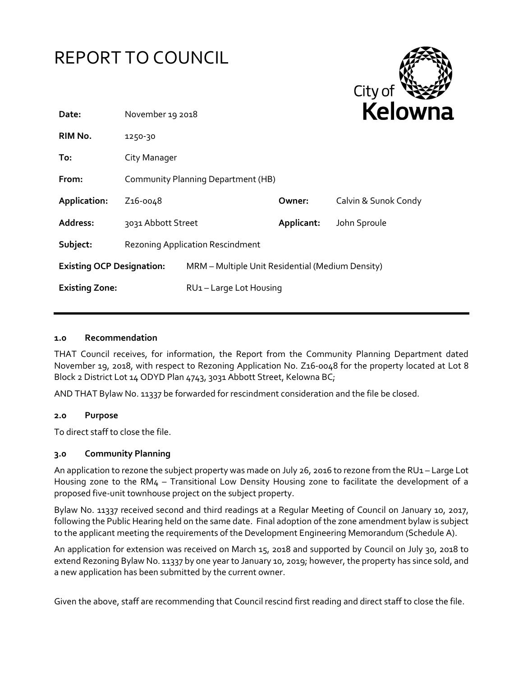

## **1.0 Recommendation**

THAT Council receives, for information, the Report from the Community Planning Department dated November 19, 2018, with respect to Rezoning Application No. Z16-0048 for the property located at Lot 8 Block 2 District Lot 14 ODYD Plan 4743, 3031 Abbott Street, Kelowna BC;

AND THAT Bylaw No. 11337 be forwarded for rescindment consideration and the file be closed.

## **2.0 Purpose**

To direct staff to close the file.

## **3.0 Community Planning**

An application to rezone the subject property was made on July 26, 2016 to rezone from the RU1 – Large Lot Housing zone to the RM4 – Transitional Low Density Housing zone to facilitate the development of a proposed five-unit townhouse project on the subject property.

Bylaw No. 11337 received second and third readings at a Regular Meeting of Council on January 10, 2017, following the Public Hearing held on the same date. Final adoption of the zone amendment bylaw is subject to the applicant meeting the requirements of the Development Engineering Memorandum (Schedule A).

An application for extension was received on March 15, 2018 and supported by Council on July 30, 2018 to extend Rezoning Bylaw No. 11337 by one year to January 10, 2019; however, the property has since sold, and a new application has been submitted by the current owner.

Given the above, staff are recommending that Council rescind first reading and direct staff to close the file.